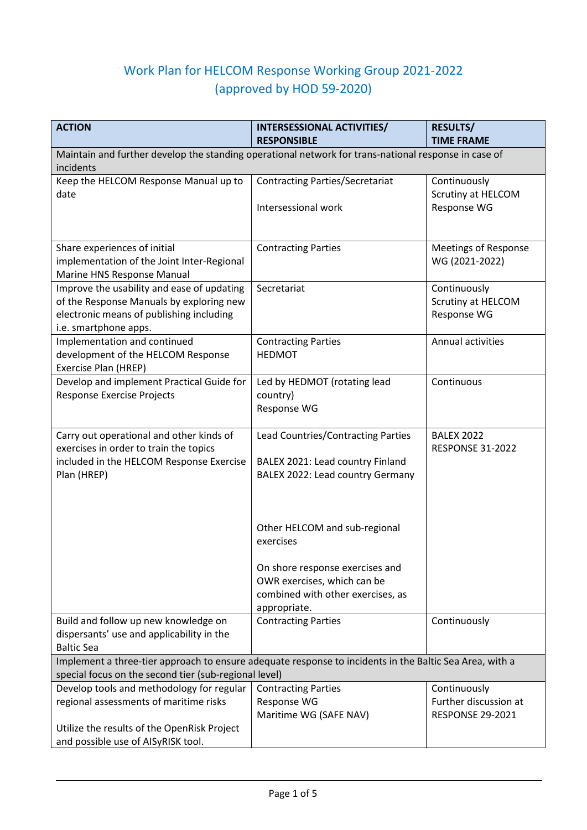## Work Plan for HELCOM Response Working Group 2021-2022 (approved by HOD 59-2020)

| <b>ACTION</b>                                                                                           | <b>INTERSESSIONAL ACTIVITIES/</b><br><b>RESPONSIBLE</b> | <b>RESULTS/</b><br><b>TIME FRAME</b> |
|---------------------------------------------------------------------------------------------------------|---------------------------------------------------------|--------------------------------------|
| Maintain and further develop the standing operational network for trans-national response in case of    |                                                         |                                      |
| incidents                                                                                               |                                                         |                                      |
| Keep the HELCOM Response Manual up to                                                                   | <b>Contracting Parties/Secretariat</b>                  | Continuously                         |
| date                                                                                                    |                                                         | Scrutiny at HELCOM                   |
|                                                                                                         | Intersessional work                                     | Response WG                          |
|                                                                                                         |                                                         |                                      |
|                                                                                                         |                                                         |                                      |
| Share experiences of initial                                                                            | <b>Contracting Parties</b>                              | <b>Meetings of Response</b>          |
| implementation of the Joint Inter-Regional                                                              |                                                         | WG (2021-2022)                       |
| Marine HNS Response Manual                                                                              |                                                         |                                      |
| Improve the usability and ease of updating                                                              | Secretariat                                             | Continuously                         |
| of the Response Manuals by exploring new                                                                |                                                         | Scrutiny at HELCOM                   |
| electronic means of publishing including                                                                |                                                         | Response WG                          |
| i.e. smartphone apps.<br>Implementation and continued                                                   | <b>Contracting Parties</b>                              | Annual activities                    |
| development of the HELCOM Response                                                                      | <b>HEDMOT</b>                                           |                                      |
| Exercise Plan (HREP)                                                                                    |                                                         |                                      |
| Develop and implement Practical Guide for                                                               | Led by HEDMOT (rotating lead                            | Continuous                           |
| Response Exercise Projects                                                                              | country)                                                |                                      |
|                                                                                                         | Response WG                                             |                                      |
|                                                                                                         |                                                         |                                      |
| Carry out operational and other kinds of                                                                | Lead Countries/Contracting Parties                      | <b>BALEX 2022</b>                    |
| exercises in order to train the topics                                                                  |                                                         | <b>RESPONSE 31-2022</b>              |
| included in the HELCOM Response Exercise                                                                | BALEX 2021: Lead country Finland                        |                                      |
| Plan (HREP)                                                                                             | BALEX 2022: Lead country Germany                        |                                      |
|                                                                                                         |                                                         |                                      |
|                                                                                                         |                                                         |                                      |
|                                                                                                         | Other HELCOM and sub-regional                           |                                      |
|                                                                                                         | exercises                                               |                                      |
|                                                                                                         |                                                         |                                      |
|                                                                                                         | On shore response exercises and                         |                                      |
|                                                                                                         | OWR exercises, which can be                             |                                      |
|                                                                                                         | combined with other exercises, as                       |                                      |
|                                                                                                         | appropriate.                                            |                                      |
| Build and follow up new knowledge on                                                                    | <b>Contracting Parties</b>                              | Continuously                         |
| dispersants' use and applicability in the<br><b>Baltic Sea</b>                                          |                                                         |                                      |
| Implement a three-tier approach to ensure adequate response to incidents in the Baltic Sea Area, with a |                                                         |                                      |
| special focus on the second tier (sub-regional level)                                                   |                                                         |                                      |
| Develop tools and methodology for regular                                                               | <b>Contracting Parties</b>                              | Continuously                         |
| regional assessments of maritime risks                                                                  | Response WG                                             | Further discussion at                |
|                                                                                                         | Maritime WG (SAFE NAV)                                  | <b>RESPONSE 29-2021</b>              |
| Utilize the results of the OpenRisk Project                                                             |                                                         |                                      |
| and possible use of AISyRISK tool.                                                                      |                                                         |                                      |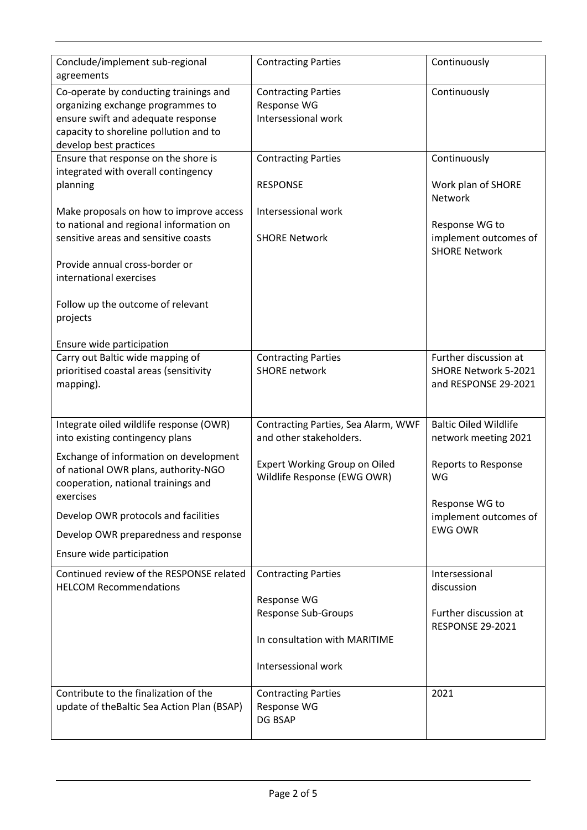| Conclude/implement sub-regional<br>agreements | <b>Contracting Parties</b>          | Continuously                 |
|-----------------------------------------------|-------------------------------------|------------------------------|
| Co-operate by conducting trainings and        | <b>Contracting Parties</b>          | Continuously                 |
| organizing exchange programmes to             | Response WG                         |                              |
| ensure swift and adequate response            | Intersessional work                 |                              |
| capacity to shoreline pollution and to        |                                     |                              |
| develop best practices                        |                                     |                              |
| Ensure that response on the shore is          | <b>Contracting Parties</b>          | Continuously                 |
| integrated with overall contingency           |                                     |                              |
| planning                                      | <b>RESPONSE</b>                     | Work plan of SHORE           |
|                                               |                                     | <b>Network</b>               |
| Make proposals on how to improve access       | Intersessional work                 |                              |
| to national and regional information on       |                                     | Response WG to               |
| sensitive areas and sensitive coasts          | <b>SHORE Network</b>                | implement outcomes of        |
|                                               |                                     | <b>SHORE Network</b>         |
| Provide annual cross-border or                |                                     |                              |
| international exercises                       |                                     |                              |
|                                               |                                     |                              |
| Follow up the outcome of relevant             |                                     |                              |
| projects                                      |                                     |                              |
| Ensure wide participation                     |                                     |                              |
| Carry out Baltic wide mapping of              | <b>Contracting Parties</b>          | Further discussion at        |
| prioritised coastal areas (sensitivity        | <b>SHORE network</b>                | SHORE Network 5-2021         |
| mapping).                                     |                                     | and RESPONSE 29-2021         |
|                                               |                                     |                              |
|                                               |                                     |                              |
| Integrate oiled wildlife response (OWR)       | Contracting Parties, Sea Alarm, WWF | <b>Baltic Oiled Wildlife</b> |
| into existing contingency plans               | and other stakeholders.             | network meeting 2021         |
| Exchange of information on development        |                                     |                              |
| of national OWR plans, authority-NGO          | Expert Working Group on Oiled       | <b>Reports to Response</b>   |
| cooperation, national trainings and           | Wildlife Response (EWG OWR)         | WG                           |
| exercises                                     |                                     |                              |
|                                               |                                     | Response WG to               |
| Develop OWR protocols and facilities          |                                     | implement outcomes of        |
| Develop OWR preparedness and response         |                                     | <b>EWG OWR</b>               |
| Ensure wide participation                     |                                     |                              |
| Continued review of the RESPONSE related      | <b>Contracting Parties</b>          | Intersessional               |
| <b>HELCOM Recommendations</b>                 |                                     | discussion                   |
|                                               | Response WG                         |                              |
|                                               | <b>Response Sub-Groups</b>          | Further discussion at        |
|                                               |                                     | <b>RESPONSE 29-2021</b>      |
|                                               | In consultation with MARITIME       |                              |
|                                               |                                     |                              |
|                                               | Intersessional work                 |                              |
| Contribute to the finalization of the         | <b>Contracting Parties</b>          | 2021                         |
| update of the Baltic Sea Action Plan (BSAP)   | Response WG                         |                              |
|                                               |                                     |                              |
|                                               | DG BSAP                             |                              |
|                                               |                                     |                              |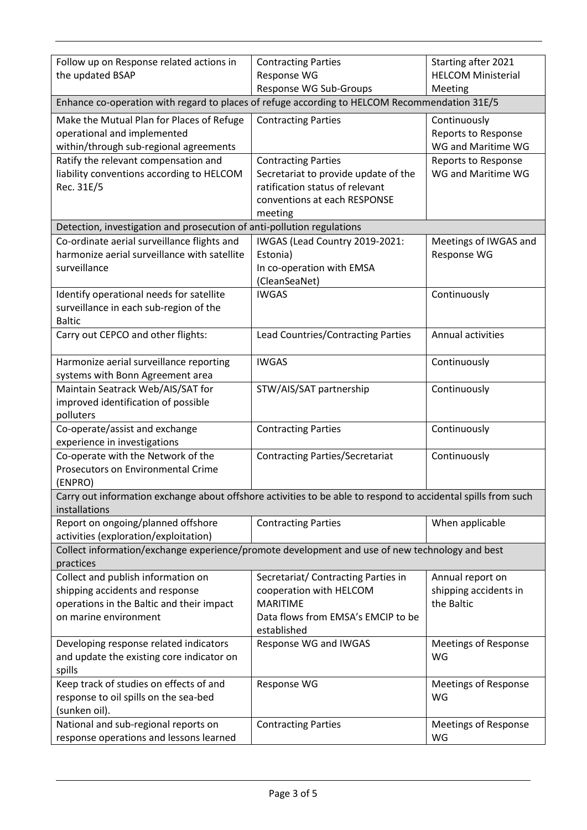| Follow up on Response related actions in                                                                      | <b>Contracting Parties</b>                                         | Starting after 2021                       |  |  |
|---------------------------------------------------------------------------------------------------------------|--------------------------------------------------------------------|-------------------------------------------|--|--|
| the updated BSAP                                                                                              | Response WG                                                        | <b>HELCOM Ministerial</b>                 |  |  |
|                                                                                                               | <b>Response WG Sub-Groups</b>                                      | Meeting                                   |  |  |
| Enhance co-operation with regard to places of refuge according to HELCOM Recommendation 31E/5                 |                                                                    |                                           |  |  |
| Make the Mutual Plan for Places of Refuge                                                                     | <b>Contracting Parties</b>                                         | Continuously                              |  |  |
| operational and implemented                                                                                   |                                                                    | Reports to Response                       |  |  |
| within/through sub-regional agreements                                                                        |                                                                    | WG and Maritime WG                        |  |  |
| Ratify the relevant compensation and<br>liability conventions according to HELCOM                             | <b>Contracting Parties</b><br>Secretariat to provide update of the | Reports to Response<br>WG and Maritime WG |  |  |
| Rec. 31E/5                                                                                                    | ratification status of relevant                                    |                                           |  |  |
|                                                                                                               | conventions at each RESPONSE                                       |                                           |  |  |
|                                                                                                               | meeting                                                            |                                           |  |  |
| Detection, investigation and prosecution of anti-pollution regulations                                        |                                                                    |                                           |  |  |
| Co-ordinate aerial surveillance flights and                                                                   | IWGAS (Lead Country 2019-2021:                                     | Meetings of IWGAS and                     |  |  |
| harmonize aerial surveillance with satellite                                                                  | Estonia)                                                           | Response WG                               |  |  |
| surveillance                                                                                                  | In co-operation with EMSA                                          |                                           |  |  |
|                                                                                                               | (CleanSeaNet)                                                      |                                           |  |  |
| Identify operational needs for satellite                                                                      | <b>IWGAS</b>                                                       | Continuously                              |  |  |
| surveillance in each sub-region of the                                                                        |                                                                    |                                           |  |  |
| <b>Baltic</b>                                                                                                 |                                                                    |                                           |  |  |
| Carry out CEPCO and other flights:                                                                            | Lead Countries/Contracting Parties                                 | Annual activities                         |  |  |
|                                                                                                               | <b>IWGAS</b>                                                       |                                           |  |  |
| Harmonize aerial surveillance reporting<br>systems with Bonn Agreement area                                   |                                                                    | Continuously                              |  |  |
| Maintain Seatrack Web/AIS/SAT for                                                                             | STW/AIS/SAT partnership                                            | Continuously                              |  |  |
| improved identification of possible                                                                           |                                                                    |                                           |  |  |
| polluters                                                                                                     |                                                                    |                                           |  |  |
| Co-operate/assist and exchange                                                                                | <b>Contracting Parties</b>                                         | Continuously                              |  |  |
| experience in investigations                                                                                  |                                                                    |                                           |  |  |
| Co-operate with the Network of the                                                                            | <b>Contracting Parties/Secretariat</b>                             | Continuously                              |  |  |
| <b>Prosecutors on Environmental Crime</b>                                                                     |                                                                    |                                           |  |  |
| (ENPRO)                                                                                                       |                                                                    |                                           |  |  |
| Carry out information exchange about offshore activities to be able to respond to accidental spills from such |                                                                    |                                           |  |  |
| installations                                                                                                 |                                                                    |                                           |  |  |
| Report on ongoing/planned offshore                                                                            | <b>Contracting Parties</b>                                         | When applicable                           |  |  |
| activities (exploration/exploitation)                                                                         |                                                                    |                                           |  |  |
| Collect information/exchange experience/promote development and use of new technology and best<br>practices   |                                                                    |                                           |  |  |
| Collect and publish information on                                                                            | Secretariat/ Contracting Parties in                                | Annual report on                          |  |  |
| shipping accidents and response                                                                               | cooperation with HELCOM                                            | shipping accidents in                     |  |  |
| operations in the Baltic and their impact                                                                     | <b>MARITIME</b>                                                    | the Baltic                                |  |  |
| on marine environment                                                                                         | Data flows from EMSA's EMCIP to be                                 |                                           |  |  |
|                                                                                                               | established                                                        |                                           |  |  |
| Developing response related indicators                                                                        | Response WG and IWGAS                                              | <b>Meetings of Response</b>               |  |  |
| and update the existing core indicator on                                                                     |                                                                    | WG                                        |  |  |
| spills                                                                                                        |                                                                    |                                           |  |  |
| Keep track of studies on effects of and                                                                       | Response WG                                                        | <b>Meetings of Response</b>               |  |  |
| response to oil spills on the sea-bed                                                                         |                                                                    | WG                                        |  |  |
| (sunken oil).                                                                                                 |                                                                    |                                           |  |  |
| National and sub-regional reports on                                                                          | <b>Contracting Parties</b>                                         | <b>Meetings of Response</b>               |  |  |
| response operations and lessons learned                                                                       |                                                                    | WG                                        |  |  |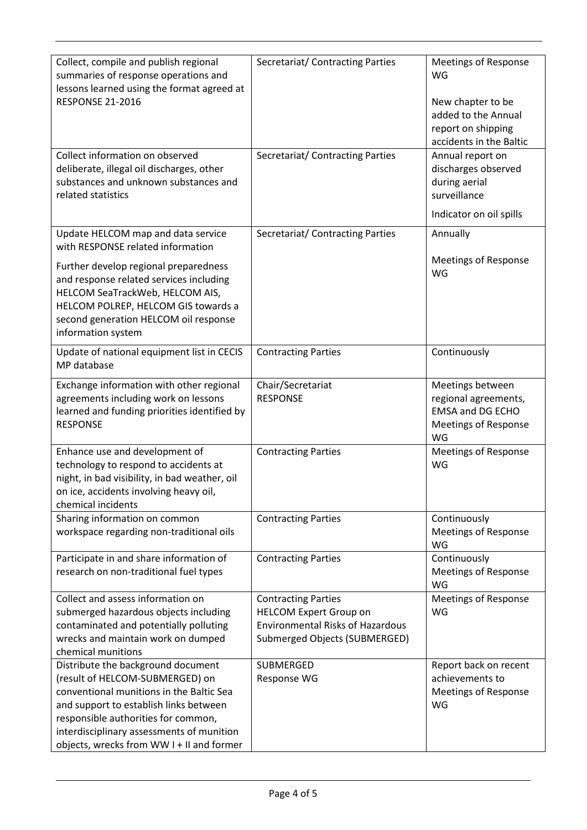| Collect, compile and publish regional<br>summaries of response operations and<br>lessons learned using the format agreed at | Secretariat/ Contracting Parties        | <b>Meetings of Response</b><br>WG |
|-----------------------------------------------------------------------------------------------------------------------------|-----------------------------------------|-----------------------------------|
| <b>RESPONSE 21-2016</b>                                                                                                     |                                         | New chapter to be                 |
|                                                                                                                             |                                         | added to the Annual               |
|                                                                                                                             |                                         | report on shipping                |
|                                                                                                                             |                                         | accidents in the Baltic           |
| Collect information on observed                                                                                             | Secretariat/ Contracting Parties        | Annual report on                  |
| deliberate, illegal oil discharges, other                                                                                   |                                         | discharges observed               |
| substances and unknown substances and                                                                                       |                                         | during aerial                     |
| related statistics                                                                                                          |                                         | surveillance                      |
|                                                                                                                             |                                         | Indicator on oil spills           |
|                                                                                                                             |                                         |                                   |
| Update HELCOM map and data service<br>with RESPONSE related information                                                     | Secretariat/ Contracting Parties        | Annually                          |
| Further develop regional preparedness                                                                                       |                                         | <b>Meetings of Response</b>       |
| and response related services including                                                                                     |                                         | WG                                |
| HELCOM SeaTrackWeb, HELCOM AIS,                                                                                             |                                         |                                   |
| HELCOM POLREP, HELCOM GIS towards a                                                                                         |                                         |                                   |
| second generation HELCOM oil response                                                                                       |                                         |                                   |
| information system                                                                                                          |                                         |                                   |
| Update of national equipment list in CECIS                                                                                  | <b>Contracting Parties</b>              | Continuously                      |
| MP database                                                                                                                 |                                         |                                   |
| Exchange information with other regional                                                                                    | Chair/Secretariat                       | Meetings between                  |
| agreements including work on lessons                                                                                        | <b>RESPONSE</b>                         | regional agreements,              |
| learned and funding priorities identified by                                                                                |                                         | <b>EMSA and DG ECHO</b>           |
| <b>RESPONSE</b>                                                                                                             |                                         | <b>Meetings of Response</b>       |
|                                                                                                                             |                                         | WG                                |
| Enhance use and development of                                                                                              | <b>Contracting Parties</b>              | <b>Meetings of Response</b>       |
| technology to respond to accidents at                                                                                       |                                         | WG                                |
| night, in bad visibility, in bad weather, oil                                                                               |                                         |                                   |
| on ice, accidents involving heavy oil,                                                                                      |                                         |                                   |
| chemical incidents                                                                                                          |                                         |                                   |
| Sharing information on common                                                                                               | <b>Contracting Parties</b>              | Continuously                      |
| workspace regarding non-traditional oils                                                                                    |                                         | <b>Meetings of Response</b>       |
|                                                                                                                             |                                         | WG                                |
| Participate in and share information of                                                                                     | <b>Contracting Parties</b>              | Continuously                      |
| research on non-traditional fuel types                                                                                      |                                         | <b>Meetings of Response</b>       |
|                                                                                                                             |                                         | WG                                |
| Collect and assess information on                                                                                           | <b>Contracting Parties</b>              | <b>Meetings of Response</b>       |
| submerged hazardous objects including                                                                                       | <b>HELCOM Expert Group on</b>           | WG                                |
| contaminated and potentially polluting                                                                                      | <b>Environmental Risks of Hazardous</b> |                                   |
| wrecks and maintain work on dumped                                                                                          | Submerged Objects (SUBMERGED)           |                                   |
| chemical munitions                                                                                                          |                                         |                                   |
| Distribute the background document                                                                                          | <b>SUBMERGED</b>                        | Report back on recent             |
| (result of HELCOM-SUBMERGED) on                                                                                             | Response WG                             | achievements to                   |
| conventional munitions in the Baltic Sea                                                                                    |                                         | <b>Meetings of Response</b>       |
| and support to establish links between                                                                                      |                                         | WG                                |
| responsible authorities for common,                                                                                         |                                         |                                   |
| interdisciplinary assessments of munition                                                                                   |                                         |                                   |
| objects, wrecks from WW I + II and former                                                                                   |                                         |                                   |